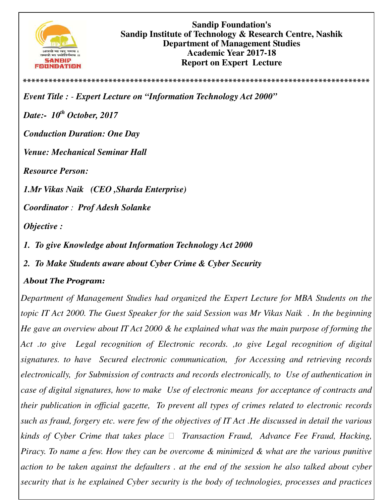

**\*\*\*\*\*\*\*\*\*\*\*\*\*\*\*\*\*\*\*\*\*\*\*\*\*\*\*\*\*\*\*\*\*\*\*\*\*\*\*\*\*\*\*\*\*\*\*\*\*\*\*\*\*\*\*\*\*\*\*\*\*\*\*\*\*\*\*\*\*\*\*\*\*\*\*\*\*\*\*\*\***

*Event Title : - Expert Lecture on "Information Technology Act 2000" Date:- 10th October, 2017 Conduction Duration: One Day Venue: Mechanical Seminar Hall Resource Person:* 

*1.Mr Vikas Naik (CEO ,Sharda Enterprise)* 

*Coordinator : Prof Adesh Solanke* 

*Objective :* 

- *1. To give Knowledge about Information Technology Act 2000*
- *2. To Make Students aware about Cyber Crime & Cyber Security*

## *About The Program:*

*Department of Management Studies had organized the Expert Lecture for MBA Students on the topic IT Act 2000. The Guest Speaker for the said Session was Mr Vikas Naik . In the beginning He gave an overview about IT Act 2000 & he explained what was the main purpose of forming the Act .to give Legal recognition of Electronic records. ,to give Legal recognition of digital signatures. to have Secured electronic communication, for Accessing and retrieving records electronically, for Submission of contracts and records electronically, to Use of authentication in case of digital signatures, how to make Use of electronic means for acceptance of contracts and their publication in official gazette, To prevent all types of crimes related to electronic records such as fraud, forgery etc. were few of the objectives of IT Act .He discussed in detail the various kinds of Cyber Crime that takes place Transaction Fraud, Advance Fee Fraud, Hacking, Piracy. To name a few. How they can be overcome & minimized & what are the various punitive action to be taken against the defaulters . at the end of the session he also talked about cyber security that is he explained Cyber security is the body of technologies, processes and practices*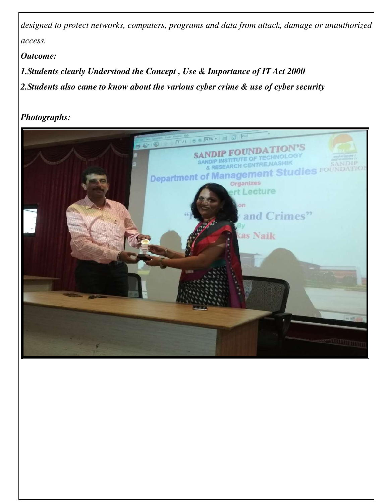*designed to protect networks, computers, programs and data from attack, damage or unauthorized access.* 

*Outcome:* 

*1.Students clearly Understood the Concept , Use & Importance of IT Act 2000 2.Students also came to know about the various cyber crime & use of cyber security* 

*Photographs:*